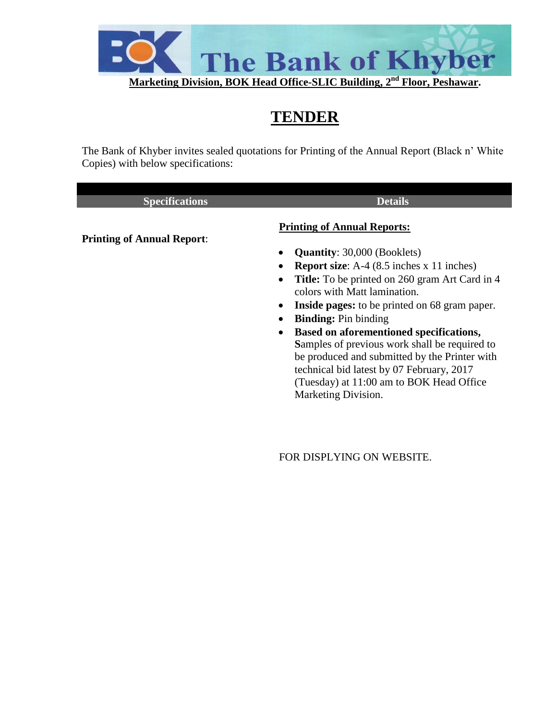

# **TENDER**

The Bank of Khyber invites sealed quotations for Printing of the Annual Report (Black n' White Copies) with below specifications:

| <b>Specifications</b>             | <b>Details</b>                                                     |
|-----------------------------------|--------------------------------------------------------------------|
|                                   | <b>Printing of Annual Reports:</b>                                 |
| <b>Printing of Annual Report:</b> | <b>Quantity:</b> 30,000 (Booklets)<br>$\bullet$                    |
|                                   | <b>Report size:</b> A-4 $(8.5$ inches $x$ 11 inches)<br>$\bullet$  |
|                                   | <b>Title:</b> To be printed on 260 gram Art Card in 4<br>$\bullet$ |
|                                   | colors with Matt lamination.                                       |
|                                   | <b>Inside pages:</b> to be printed on 68 gram paper.<br>$\bullet$  |
|                                   | <b>Binding:</b> Pin binding<br>٠                                   |
|                                   | <b>Based on aforementioned specifications,</b><br>$\bullet$        |
|                                   | <b>Samples of previous work shall be required to</b>               |
|                                   | be produced and submitted by the Printer with                      |
|                                   | technical bid latest by 07 February, 2017                          |
|                                   | (Tuesday) at 11:00 am to BOK Head Office                           |

FOR DISPLYING ON WEBSITE.

Marketing Division.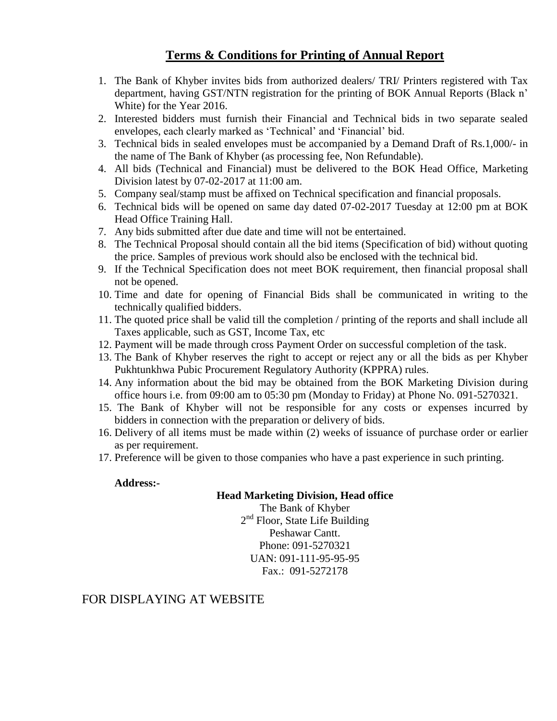## **Terms & Conditions for Printing of Annual Report**

- 1. The Bank of Khyber invites bids from authorized dealers/ TRI/ Printers registered with Tax department, having GST/NTN registration for the printing of BOK Annual Reports (Black n' White) for the Year 2016.
- 2. Interested bidders must furnish their Financial and Technical bids in two separate sealed envelopes, each clearly marked as 'Technical' and 'Financial' bid.
- 3. Technical bids in sealed envelopes must be accompanied by a Demand Draft of Rs.1,000/- in the name of The Bank of Khyber (as processing fee, Non Refundable).
- 4. All bids (Technical and Financial) must be delivered to the BOK Head Office, Marketing Division latest by 07-02-2017 at 11:00 am.
- 5. Company seal/stamp must be affixed on Technical specification and financial proposals.
- 6. Technical bids will be opened on same day dated 07-02-2017 Tuesday at 12:00 pm at BOK Head Office Training Hall.
- 7. Any bids submitted after due date and time will not be entertained.
- 8. The Technical Proposal should contain all the bid items (Specification of bid) without quoting the price. Samples of previous work should also be enclosed with the technical bid.
- 9. If the Technical Specification does not meet BOK requirement, then financial proposal shall not be opened.
- 10. Time and date for opening of Financial Bids shall be communicated in writing to the technically qualified bidders.
- 11. The quoted price shall be valid till the completion / printing of the reports and shall include all Taxes applicable, such as GST, Income Tax, etc
- 12. Payment will be made through cross Payment Order on successful completion of the task.
- 13. The Bank of Khyber reserves the right to accept or reject any or all the bids as per Khyber Pukhtunkhwa Pubic Procurement Regulatory Authority (KPPRA) rules.
- 14. Any information about the bid may be obtained from the BOK Marketing Division during office hours i.e. from 09:00 am to 05:30 pm (Monday to Friday) at Phone No. 091-5270321.
- 15. The Bank of Khyber will not be responsible for any costs or expenses incurred by bidders in connection with the preparation or delivery of bids.
- 16. Delivery of all items must be made within (2) weeks of issuance of purchase order or earlier as per requirement.
- 17. Preference will be given to those companies who have a past experience in such printing.

#### **Address:-**

#### **Head Marketing Division, Head office**

The Bank of Khyber 2<sup>nd</sup> Floor, State Life Building Peshawar Cantt. Phone: 091-5270321 UAN: 091-111-95-95-95 Fax.: 091-5272178

### FOR DISPLAYING AT WEBSITE